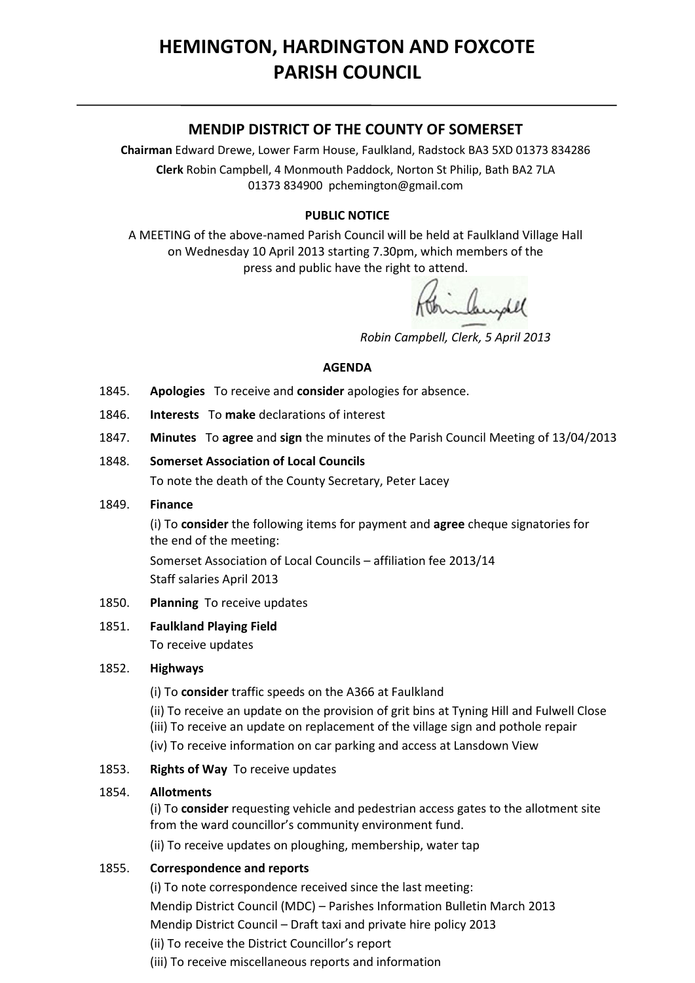# **HEMINGTON, HARDINGTON AND FOXCOTE PARISH COUNCIL**

# **MENDIP DISTRICT OF THE COUNTY OF SOMERSET**

**Chairman** Edward Drewe, Lower Farm House, Faulkland, Radstock BA3 5XD 01373 834286 **Clerk** Robin Campbell, 4 Monmouth Paddock, Norton St Philip, Bath BA2 7LA 01373 834900 [pchemington@gmail.com](mailto:pchemington@gmail.com)

# **PUBLIC NOTICE**

A MEETING of the above-named Parish Council will be held at Faulkland Village Hall on Wednesday 10 April 2013 starting 7.30pm, which members of the press and public have the right to attend.

alamphel

 *Robin Campbell, Clerk, 5 April 2013*

#### **AGENDA**

- 1845. **Apologies** To receive and **consider** apologies for absence.
- 1846. **Interests** To **make** declarations of interest
- 1847. **Minutes** To **agree** and **sign** the minutes of the Parish Council Meeting of 13/04/2013

#### 1848. **Somerset Association of Local Councils**

To note the death of the County Secretary, Peter Lacey

#### 1849. **Finance**

(i) To **consider** the following items for payment and **agree** cheque signatories for the end of the meeting:

Somerset Association of Local Councils – affiliation fee 2013/14 Staff salaries April 2013

#### 1850. **Planning** To receive updates

#### 1851. **Faulkland Playing Field**

To receive updates

# 1852. **Highways**

(i) To **consider** traffic speeds on the A366 at Faulkland

(ii) To receive an update on the provision of grit bins at Tyning Hill and Fulwell Close

- (iii) To receive an update on replacement of the village sign and pothole repair
- (iv) To receive information on car parking and access at Lansdown View
- 1853. **Rights of Way** To receive updates

# 1854. **Allotments**

(i) To **consider** requesting vehicle and pedestrian access gates to the allotment site from the ward councillor's community environment fund.

(ii) To receive updates on ploughing, membership, water tap

# 1855. **Correspondence and reports**

(i) To note correspondence received since the last meeting: Mendip District Council (MDC) – Parishes Information Bulletin March 2013 Mendip District Council – Draft taxi and private hire policy 2013 (ii) To receive the District Councillor's report (iii) To receive miscellaneous reports and information